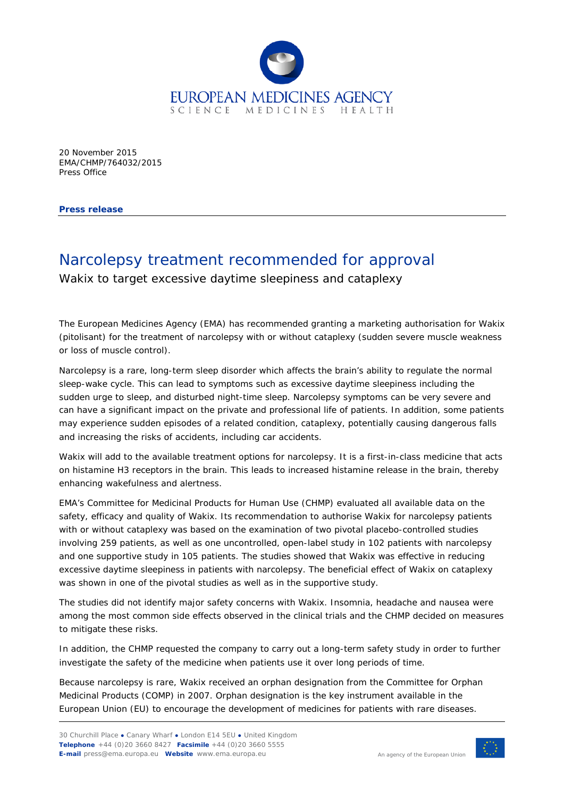

20 November 2015 EMA/CHMP/764032/2015 Press Office

**Press release**

## Narcolepsy treatment recommended for approval

Wakix to target excessive daytime sleepiness and cataplexy

The European Medicines Agency (EMA) has recommended granting a marketing authorisation for Wakix (pitolisant) for the treatment of narcolepsy with or without cataplexy (sudden severe muscle weakness or loss of muscle control).

Narcolepsy is a rare, long-term sleep disorder which affects the brain's ability to regulate the normal sleep-wake cycle. This can lead to symptoms such as excessive daytime sleepiness including the sudden urge to sleep, and disturbed night-time sleep. Narcolepsy symptoms can be very severe and can have a significant impact on the private and professional life of patients. In addition, some patients may experience sudden episodes of a related condition, cataplexy, potentially causing dangerous falls and increasing the risks of accidents, including car accidents.

Wakix will add to the available treatment options for narcolepsy. It is a first-in-class medicine that acts on histamine H3 receptors in the brain. This leads to increased histamine release in the brain, thereby enhancing wakefulness and alertness.

EMA's Committee for Medicinal Products for Human Use (CHMP) evaluated all available data on the safety, efficacy and quality of Wakix. Its recommendation to authorise Wakix for narcolepsy patients with or without cataplexy was based on the examination of two pivotal placebo-controlled studies involving 259 patients, as well as one uncontrolled, open-label study in 102 patients with narcolepsy and one supportive study in 105 patients. The studies showed that Wakix was effective in reducing excessive daytime sleepiness in patients with narcolepsy. The beneficial effect of Wakix on cataplexy was shown in one of the pivotal studies as well as in the supportive study.

The studies did not identify major safety concerns with Wakix. Insomnia, headache and nausea were among the most common side effects observed in the clinical trials and the CHMP decided on measures to mitigate these risks.

In addition, the CHMP requested the company to carry out a long-term safety study in order to further investigate the safety of the medicine when patients use it over long periods of time.

Because narcolepsy is rare, Wakix received an orphan designation from the Committee for Orphan Medicinal Products (COMP) in 2007. Orphan designation is the key instrument available in the European Union (EU) to encourage the development of medicines for patients with rare diseases.